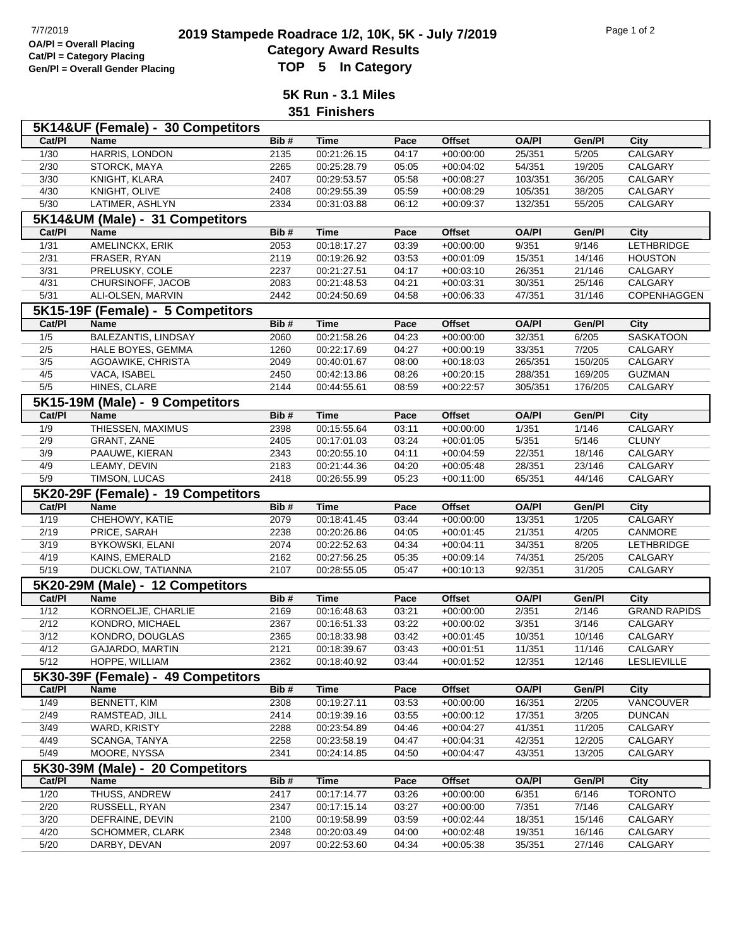## **2019 2019 Stampede Roadrace 1/2, 10K, 5K - July 7/2019** Page 1 of 2<br> **Cotogory Award Bosylts** Pagulta **Category Award Results Gen/Pl = Overall Gender Placing TOP 5 In Category**

**5K Run - 3.1 Miles 351 Finishers**

| Cat/PI            |                                   | 5K14&UF (Female) - 30 Competitors  | Bib# | <b>Time</b> |       | <b>Offset</b> | <b>OA/PI</b> | Gen/Pl  |                     |
|-------------------|-----------------------------------|------------------------------------|------|-------------|-------|---------------|--------------|---------|---------------------|
|                   | <b>Name</b>                       |                                    |      |             | Pace  |               |              |         | City<br>CALGARY     |
| 1/30              | HARRIS, LONDON                    |                                    | 2135 | 00:21:26.15 | 04:17 | $+00:00:00$   | 25/351       | 5/205   |                     |
| 2/30              | STORCK, MAYA                      |                                    | 2265 | 00:25:28.79 | 05:05 | $+00:04:02$   | 54/351       | 19/205  | CALGARY             |
| 3/30              | KNIGHT, KLARA                     |                                    | 2407 | 00:29:53.57 | 05:58 | $+00:08:27$   | 103/351      | 36/205  | CALGARY             |
| 4/30              | KNIGHT, OLIVE                     |                                    | 2408 | 00:29:55.39 | 05:59 | $+00:08:29$   | 105/351      | 38/205  | CALGARY             |
| $\overline{5/30}$ | LATIMER, ASHLYN                   |                                    | 2334 | 00:31:03.88 | 06:12 | $+00:09:37$   | 132/351      | 55/205  | <b>CALGARY</b>      |
|                   | 5K14&UM (Male) - 31 Competitors   |                                    |      |             |       |               |              |         |                     |
| Cat/PI            | Name                              |                                    | Bib# | <b>Time</b> | Pace  | Offset        | <b>OA/PI</b> | Gen/Pl  | City                |
| $\frac{1}{31}$    | AMELINCKX, ERIK                   |                                    | 2053 | 00:18:17.27 | 03:39 | $+00:00:00$   | 9/351        | 9/146   | <b>LETHBRIDGE</b>   |
| 2/31              | FRASER, RYAN                      |                                    | 2119 | 00:19:26.92 | 03:53 | $+00:01:09$   | 15/351       | 14/146  | <b>HOUSTON</b>      |
| $\frac{3}{31}$    | PRELUSKY, COLE                    |                                    | 2237 | 00:21:27.51 | 04:17 | $+00:03:10$   | 26/351       | 21/146  | CALGARY             |
| 4/31              | CHURSINOFF, JACOB                 |                                    | 2083 | 00:21:48.53 | 04:21 | $+00:03:31$   | 30/351       | 25/146  | CALGARY             |
| 5/31              | ALI-OLSEN, MARVIN                 |                                    | 2442 | 00:24:50.69 | 04:58 | $+00:06:33$   | 47/351       | 31/146  | COPENHAGGEN         |
|                   | 5K15-19F (Female) - 5 Competitors |                                    |      |             |       |               |              |         |                     |
| Cat/PI            | <b>Name</b>                       |                                    | Bib# | Time        | Pace  | <b>Offset</b> | <b>OA/PI</b> | Gen/Pl  | City                |
| 1/5               | <b>BALEZANTIS, LINDSAY</b>        |                                    | 2060 | 00:21:58.26 | 04:23 | $+00:00:00$   | 32/351       | 6/205   | <b>SASKATOON</b>    |
| 2/5               | HALE BOYES, GEMMA                 |                                    | 1260 | 00:22:17.69 | 04:27 | $+00:00:19$   | 33/351       | 7/205   | CALGARY             |
| 3/5               | AGOAWIKE, CHRISTA                 |                                    | 2049 | 00:40:01.67 | 08:00 | $+00:18:03$   | 265/351      | 150/205 | CALGARY             |
| 4/5               | VACA, ISABEL                      |                                    | 2450 | 00:42:13.86 | 08:26 | $+00:20:15$   | 288/351      | 169/205 | <b>GUZMAN</b>       |
| 5/5               | HINES, CLARE                      |                                    | 2144 | 00:44:55.61 | 08:59 | $+00:22:57$   | 305/351      | 176/205 | CALGARY             |
|                   | 5K15-19M (Male) - 9 Competitors   |                                    |      |             |       |               |              |         |                     |
| Cat/PI            | Name                              |                                    | Bib# | <b>Time</b> | Pace  | <b>Offset</b> | <b>OA/PI</b> | Gen/Pl  | City                |
| 1/9               | THIESSEN, MAXIMUS                 |                                    | 2398 | 00:15:55.64 | 03:11 | $+00:00:00$   | 1/351        | 1/146   | CALGARY             |
| 2/9               | GRANT, ZANE                       |                                    | 2405 | 00:17:01.03 | 03:24 | $+00:01:05$   | 5/351        | 5/146   | <b>CLUNY</b>        |
| 3/9               | PAAUWE, KIERAN                    |                                    | 2343 | 00:20:55.10 | 04:11 | $+00:04:59$   | 22/351       | 18/146  | CALGARY             |
| 4/9               | LEAMY, DEVIN                      |                                    | 2183 | 00:21:44.36 | 04:20 | $+00:05:48$   | 28/351       | 23/146  | CALGARY             |
| 5/9               | TIMSON, LUCAS                     |                                    | 2418 | 00:26:55.99 | 05:23 | $+00:11:00$   | 65/351       | 44/146  | <b>CALGARY</b>      |
|                   |                                   | 5K20-29F (Female) - 19 Competitors |      |             |       |               |              |         |                     |
| Cat/PI            | Name                              |                                    | Bib# | <b>Time</b> | Pace  | <b>Offset</b> | <b>OA/PI</b> | Gen/Pl  | City                |
| 1/19              | CHEHOWY, KATIE                    |                                    | 2079 | 00:18:41.45 | 03:44 | $+00:00:00$   | 13/351       | 1/205   | CALGARY             |
| 2/19              | PRICE, SARAH                      |                                    | 2238 | 00:20:26.86 | 04:05 | $+00:01:45$   | 21/351       | 4/205   | CANMORE             |
| 3/19              | BYKOWSKI, ELANI                   |                                    | 2074 | 00:22:52.63 | 04:34 | $+00:04:11$   | 34/351       | 8/205   | <b>LETHBRIDGE</b>   |
| 4/19              | KAINS, EMERALD                    |                                    | 2162 | 00:27:56.25 | 05:35 | $+00:09:14$   | 74/351       | 25/205  | CALGARY             |
| 5/19              | DUCKLOW, TATIANNA                 |                                    | 2107 | 00:28:55.05 | 05:47 | $+00:10:13$   | 92/351       | 31/205  | CALGARY             |
|                   | 5K20-29M (Male) - 12 Competitors  |                                    |      |             |       |               |              |         |                     |
| Cat/PI            | Name                              |                                    | Bib# | <b>Time</b> | Pace  | <b>Offset</b> | <b>OA/PI</b> | Gen/Pl  | City                |
| 1/12              | KORNOELJE, CHARLIE                |                                    | 2169 | 00:16:48.63 | 03:21 | $+00:00:00$   | 2/351        | 2/146   | <b>GRAND RAPIDS</b> |
| 2/12              | KONDRO, MICHAEL                   |                                    | 2367 | 00:16:51.33 | 03:22 | $+00:00:02$   | 3/351        | 3/146   | CALGARY             |
| 3/12              | KONDRO, DOUGLAS                   |                                    | 2365 | 00:18:33.98 | 03:42 | $+00:01:45$   | 10/351       | 10/146  | CALGARY             |
| 4/12              | GAJARDO, MARTIN                   |                                    | 2121 | 00:18:39.67 | 03:43 | $+00:01:51$   | 11/351       | 11/146  | CALGARY             |
| 5/12              | HOPPE, WILLIAM                    |                                    | 2362 | 00:18:40.92 | 03:44 | $+00:01:52$   | 12/351       | 12/146  | LESLIEVILLE         |
|                   |                                   | 5K30-39F (Female) - 49 Competitors |      |             |       |               |              |         |                     |
| Cat/PI            | Name                              |                                    | Bib# | <b>Time</b> | Pace  | <b>Offset</b> | <b>OA/PI</b> | Gen/Pl  | City                |
| 1/49              | <b>BENNETT, KIM</b>               |                                    | 2308 | 00:19:27.11 | 03:53 | $+00:00:00$   | 16/351       | 2/205   | VANCOUVER           |
| 2/49              | RAMSTEAD, JILL                    |                                    | 2414 | 00:19:39.16 | 03:55 | $+00:00:12$   | 17/351       | 3/205   | <b>DUNCAN</b>       |
| 3/49              | WARD, KRISTY                      |                                    | 2288 | 00:23:54.89 | 04:46 | $+00:04:27$   | 41/351       | 11/205  | CALGARY             |
| 4/49              | SCANGA, TANYA                     |                                    | 2258 | 00:23:58.19 | 04:47 | $+00:04:31$   | 42/351       | 12/205  | CALGARY             |
| 5/49              | MOORE, NYSSA                      |                                    | 2341 | 00:24:14.85 | 04:50 | $+00:04:47$   | 43/351       | 13/205  | CALGARY             |
|                   | 5K30-39M (Male) - 20 Competitors  |                                    |      |             |       |               |              |         |                     |
| Cat/PI            | Name                              |                                    | Bib# | <b>Time</b> | Pace  | Offset        | <b>OA/PI</b> | Gen/Pl  | City                |
| 1/20              | THUSS, ANDREW                     |                                    | 2417 | 00:17:14.77 | 03:26 | $+00:00:00$   | 6/351        | 6/146   | <b>TORONTO</b>      |
| 2/20              | RUSSELL, RYAN                     |                                    | 2347 | 00:17:15.14 | 03:27 | $+00:00:00$   | 7/351        | 7/146   | CALGARY             |
| 3/20              | DEFRAINE, DEVIN                   |                                    | 2100 | 00:19:58.99 | 03:59 | $+00:02:44$   | 18/351       | 15/146  | CALGARY             |
| 4/20              | <b>SCHOMMER, CLARK</b>            |                                    | 2348 | 00:20:03.49 | 04:00 | $+00:02:48$   | 19/351       | 16/146  | CALGARY             |
| 5/20              | DARBY, DEVAN                      |                                    | 2097 | 00:22:53.60 | 04:34 | $+00:05:38$   | 35/351       | 27/146  | CALGARY             |